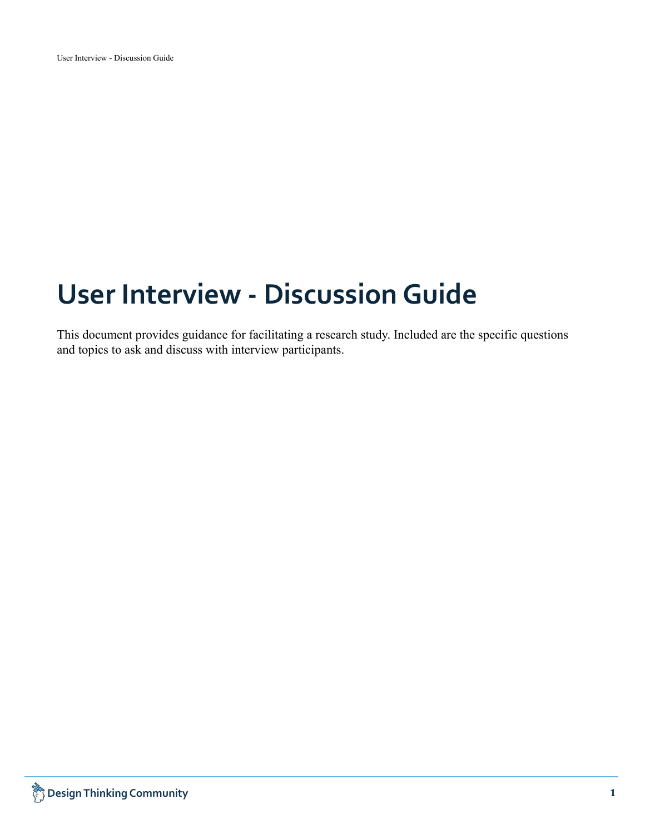# **User Interview - DiscussionGuide**

This document provides guidance for facilitating a research study. Included are the specific questions and topics to ask and discuss with interview participants.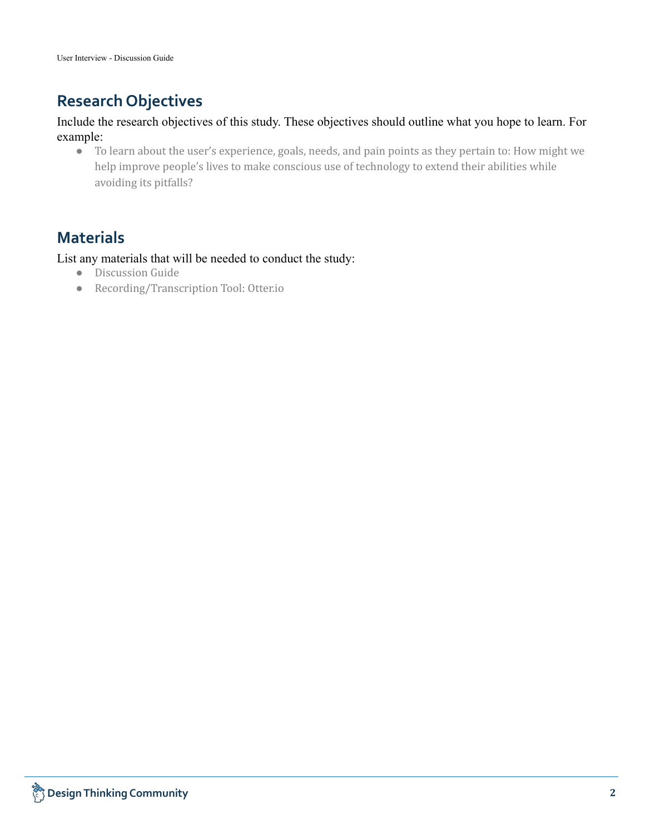# **Research Objectives**

## Include the research objectives of this study. These objectives should outline what you hope to learn. For example:

● To learn about the user's experience, goals, needs, and pain points as they pertain to: How might we help improve people's lives to make conscious use of technology to extend their abilities while avoiding its pitfalls?

# **Materials**

List any materials that will be needed to conduct the study:

- Discussion Guide
- Recording/Transcription Tool: Otter.io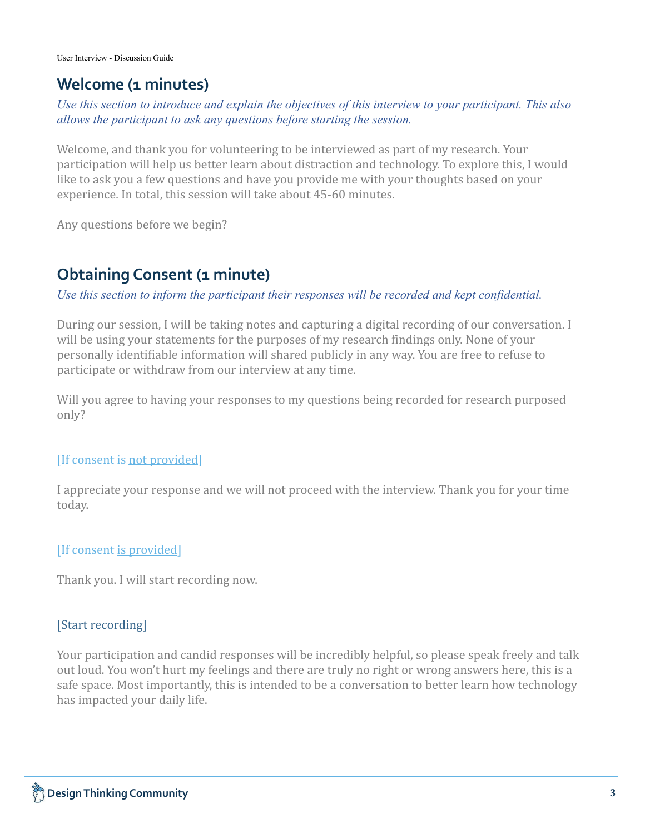# **Welcome (1 minutes)**

## *Use this section to introduce and explain the objectives of this interview to your participant. This also allows the participant to ask any questions before starting the session.*

Welcome, and thank you for volunteering to be interviewed as part of my research. Your participation will help us better learn about distraction and technology. To explore this, I would like to ask you a few questions and have you provide me with your thoughts based on your experience. In total, this session will take about 45-60 minutes.

Any questions before we begin?

# **Obtaining Consent (1 minute)**

## *Use this section to inform the participant their responses will be recorded and kept confidential.*

During our session, I will be taking notes and capturing a digital recording of our conversation. I will be using your statements for the purposes of my research findings only. None of your personally identifiable information will shared publicly in any way. You are free to refuse to participate or withdraw from our interview at any time.

Will you agree to having your responses to my questions being recorded for research purposed only?

## [If consent is not provided]

I appreciate your response and we will not proceed with the interview. Thank you for your time today.

## [If consent is provided]

Thank you. I will start recording now.

## [Start recording]

Your participation and candid responses will be incredibly helpful, so please speak freely and talk out loud. You won't hurt my feelings and there are truly no right or wrong answers here, this is a safe space. Most importantly, this is intended to be a conversation to better learn how technology has impacted your daily life.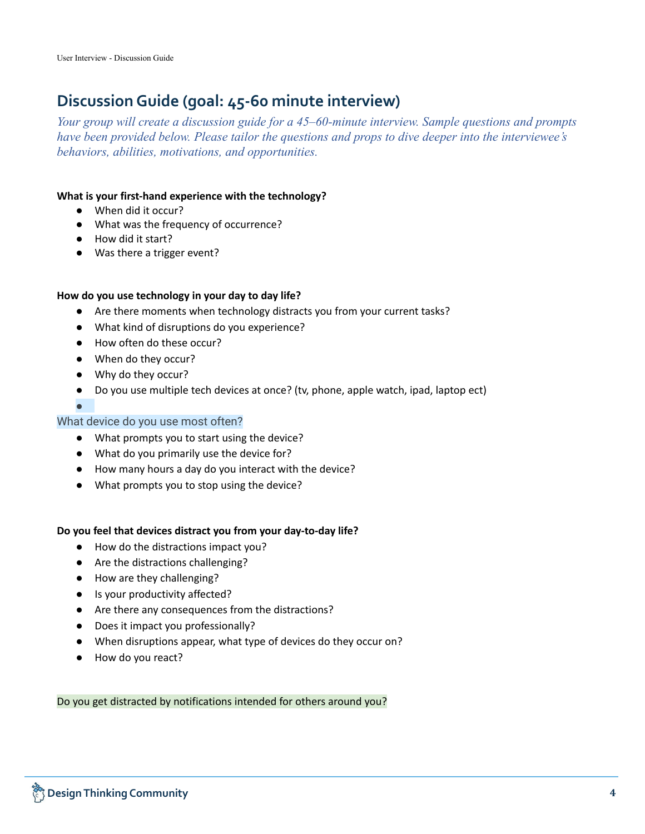# **DiscussionGuide (goal: 45-60 minute interview)**

*Your group will create a discussion guide for a 45–60-minute interview. Sample questions and prompts have been provided below. Please tailor the questions and props to dive deeper into the interviewee's behaviors, abilities, motivations, and opportunities.*

#### **What is your first-hand experience with the technology?**

- When did it occur?
- What was the frequency of occurrence?
- How did it start?
- Was there a trigger event?

#### **How do you use technology in your day to day life?**

- Are there moments when technology distracts you from your current tasks?
- What kind of disruptions do you experience?
- How often do these occur?
- When do they occur?
- Why do they occur?
- Do you use multiple tech devices at once? (tv, phone, apple watch, ipad, laptop ect)
- ●

#### What device do you use most often?

- What prompts you to start using the device?
- What do you primarily use the device for?
- How many hours a day do you interact with the device?
- What prompts you to stop using the device?

#### **Do you feel that devices distract you from your day-to-day life?**

- How do the distractions impact you?
- Are the distractions challenging?
- How are they challenging?
- Is your productivity affected?
- Are there any consequences from the distractions?
- Does it impact you professionally?
- When disruptions appear, what type of devices do they occur on?
- How do you react?

Do you get distracted by notifications intended for others around you?